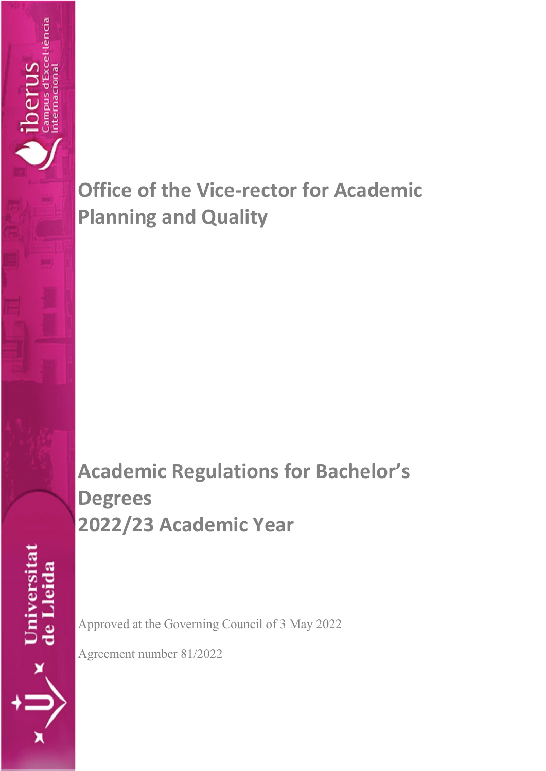

**Academic Regulations for Bachelor's Degrees 2022/23 Academic Year**

Universitat<br>de Lleida

Campus d'Excel·lència<br>nternacional

perus

Approved at the Governing Council of 3 May 2022

Agreement number 81/2022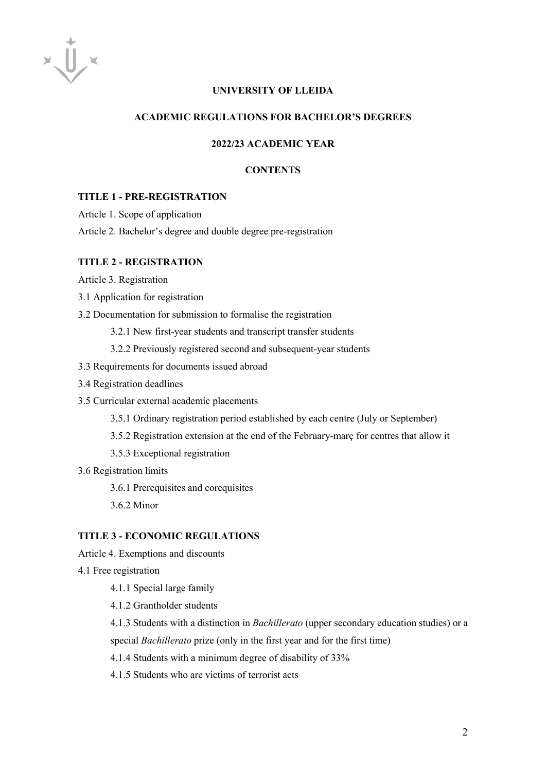#### **UNIVERSITY OF LLEIDA**

# **ACADEMIC REGULATIONS FOR BACHELOR'S DEGREES**

#### **2022/23 ACADEMIC YEAR**

#### **CONTENTS**

## **TITLE 1 - PRE-REGISTRATION**

Article 1. Scope of application

Article 2. Bachelor's degree and double degree pre-registration

#### **TITLE 2 - REGISTRATION**

Article 3. Registration

3.1 Application for registration

3.2 Documentation for submission to formalise the registration

3.2.1 New first-year students and transcript transfer students

3.2.2 Previously registered second and subsequent-year students

- 3.3 Requirements for documents issued abroad
- 3.4 Registration deadlines
- 3.5 Curricular external academic placements
	- 3.5.1 Ordinary registration period established by each centre (July or September)
	- 3.5.2 Registration extension at the end of the February-març for centres that allow it

3.5.3 Exceptional registration

3.6 Registration limits

3.6.1 Prerequisites and corequisites

3.6.2 Minor

#### **TITLE 3 - ECONOMIC REGULATIONS**

Article 4. Exemptions and discounts

4.1 Free registration

4.1.1 Special large family

4.1.2 Grantholder students

4.1.3 Students with a distinction in *Bachillerato* (upper secondary education studies) or a

special *Bachillerato* prize (only in the first year and for the first time)

4.1.4 Students with a minimum degree of disability of 33%

4.1.5 Students who are victims of terrorist acts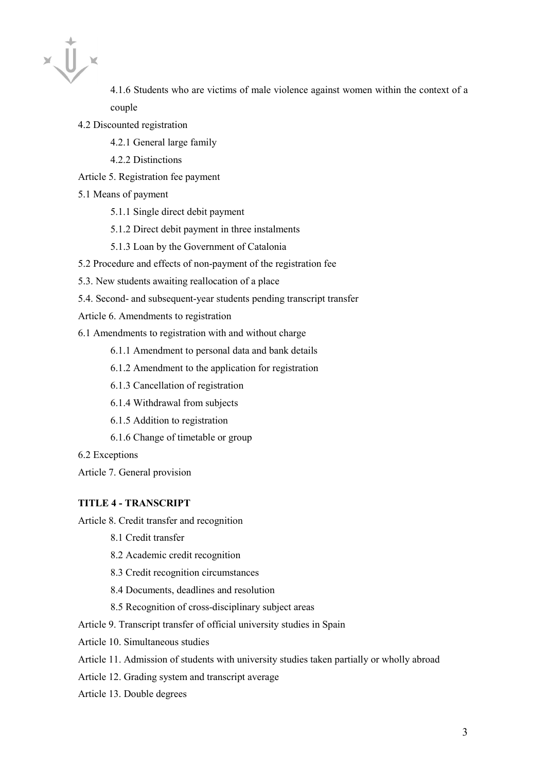4.1.6 Students who are victims of male violence against women within the context of a couple

- 4.2 Discounted registration
	- 4.2.1 General large family
	- 4.2.2 Distinctions
- Article 5. Registration fee payment
- 5.1 Means of payment
	- 5.1.1 Single direct debit payment
	- 5.1.2 Direct debit payment in three instalments
	- 5.1.3 Loan by the Government of Catalonia
- 5.2 Procedure and effects of non-payment of the registration fee
- 5.3. New students awaiting reallocation of a place
- 5.4. Second- and subsequent-year students pending transcript transfer
- Article 6. Amendments to registration
- 6.1 Amendments to registration with and without charge
	- 6.1.1 Amendment to personal data and bank details
	- 6.1.2 Amendment to the application for registration
	- 6.1.3 Cancellation of registration
	- 6.1.4 Withdrawal from subjects
	- 6.1.5 Addition to registration
	- 6.1.6 Change of timetable or group
- 6.2 Exceptions
- Article 7. General provision

#### **TITLE 4 - TRANSCRIPT**

- Article 8. Credit transfer and recognition
	- 8.1 Credit transfer
	- 8.2 Academic credit recognition
	- 8.3 Credit recognition circumstances
	- 8.4 Documents, deadlines and resolution
	- 8.5 Recognition of cross-disciplinary subject areas
- Article 9. Transcript transfer of official university studies in Spain
- Article 10. Simultaneous studies
- Article 11. Admission of students with university studies taken partially or wholly abroad
- Article 12. Grading system and transcript average
- Article 13. Double degrees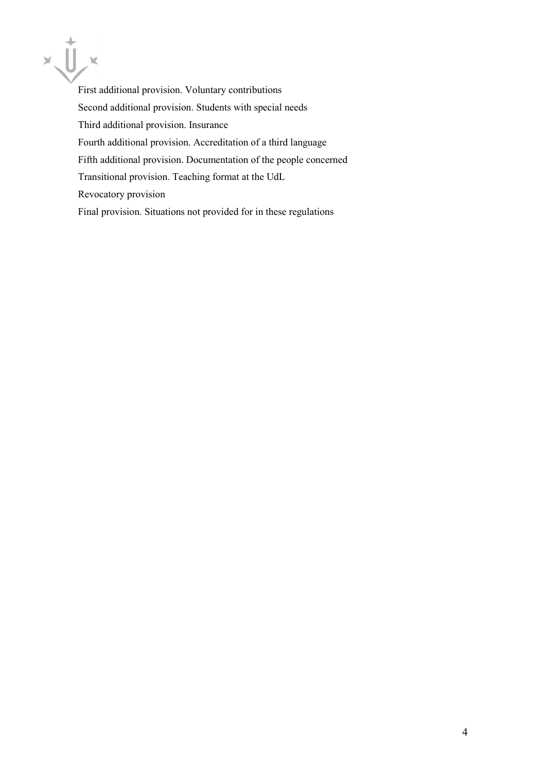

First additional provision. Voluntary contributions Second additional provision. Students with special needs Third additional provision. Insurance Fourth additional provision. Accreditation of a third language Fifth additional provision. Documentation of the people concerned Transitional provision. Teaching format at the UdL Revocatory provision Final provision. Situations not provided for in these regulations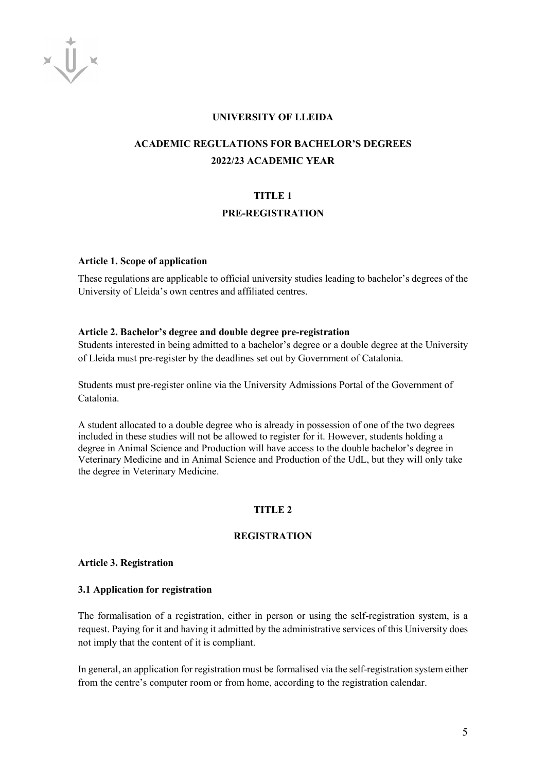$x\bigcup x$ 

#### **UNIVERSITY OF LLEIDA**

# **ACADEMIC REGULATIONS FOR BACHELOR'S DEGREES 2022/23 ACADEMIC YEAR**

## **TITLE 1**

#### **PRE-REGISTRATION**

#### **Article 1. Scope of application**

These regulations are applicable to official university studies leading to bachelor's degrees of the University of Lleida's own centres and affiliated centres.

#### **Article 2. Bachelor's degree and double degree pre-registration**

Students interested in being admitted to a bachelor's degree or a double degree at the University of Lleida must pre-register by the deadlines set out by Government of Catalonia.

Students must pre-register online via the University Admissions Portal of the Government of Catalonia.

A student allocated to a double degree who is already in possession of one of the two degrees included in these studies will not be allowed to register for it. However, students holding a degree in Animal Science and Production will have access to the double bachelor's degree in Veterinary Medicine and in Animal Science and Production of the UdL, but they will only take the degree in Veterinary Medicine.

#### **TITLE 2**

## **REGISTRATION**

#### **Article 3. Registration**

#### **3.1 Application for registration**

The formalisation of a registration, either in person or using the self-registration system, is a request. Paying for it and having it admitted by the administrative services of this University does not imply that the content of it is compliant.

In general, an application for registration must be formalised via the self-registration system either from the centre's computer room or from home, according to the registration calendar.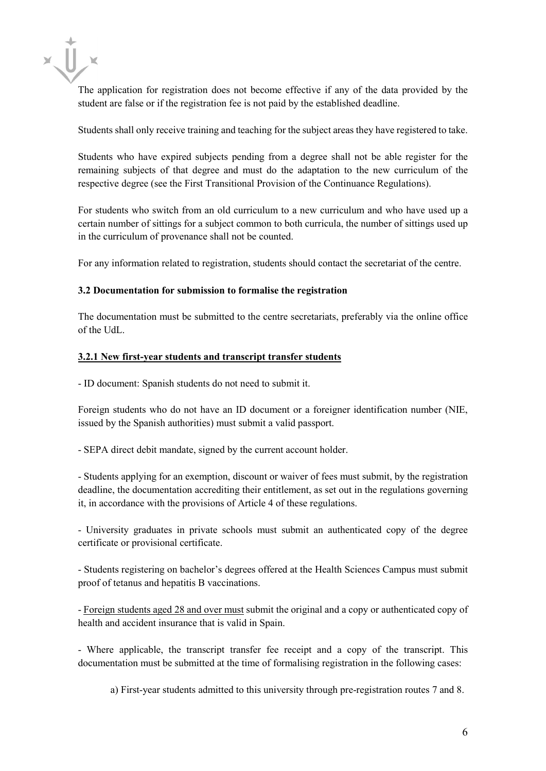

The application for registration does not become effective if any of the data provided by the student are false or if the registration fee is not paid by the established deadline.

Students shall only receive training and teaching for the subject areas they have registered to take.

Students who have expired subjects pending from a degree shall not be able register for the remaining subjects of that degree and must do the adaptation to the new curriculum of the respective degree (see the First Transitional Provision of the Continuance Regulations).

For students who switch from an old curriculum to a new curriculum and who have used up a certain number of sittings for a subject common to both curricula, the number of sittings used up in the curriculum of provenance shall not be counted.

For any information related to registration, students should contact the secretariat of the centre.

# **3.2 Documentation for submission to formalise the registration**

The documentation must be submitted to the centre secretariats, preferably via the online office of the UdL.

### **3.2.1 New first-year students and transcript transfer students**

- ID document: Spanish students do not need to submit it.

Foreign students who do not have an ID document or a foreigner identification number (NIE, issued by the Spanish authorities) must submit a valid passport.

- SEPA direct debit mandate, signed by the current account holder.

- Students applying for an exemption, discount or waiver of fees must submit, by the registration deadline, the documentation accrediting their entitlement, as set out in the regulations governing it, in accordance with the provisions of Article 4 of these regulations.

- University graduates in private schools must submit an authenticated copy of the degree certificate or provisional certificate.

- Students registering on bachelor's degrees offered at the Health Sciences Campus must submit proof of tetanus and hepatitis B vaccinations.

- Foreign students aged 28 and over must submit the original and a copy or authenticated copy of health and accident insurance that is valid in Spain.

- Where applicable, the transcript transfer fee receipt and a copy of the transcript. This documentation must be submitted at the time of formalising registration in the following cases:

a) First-year students admitted to this university through pre-registration routes 7 and 8.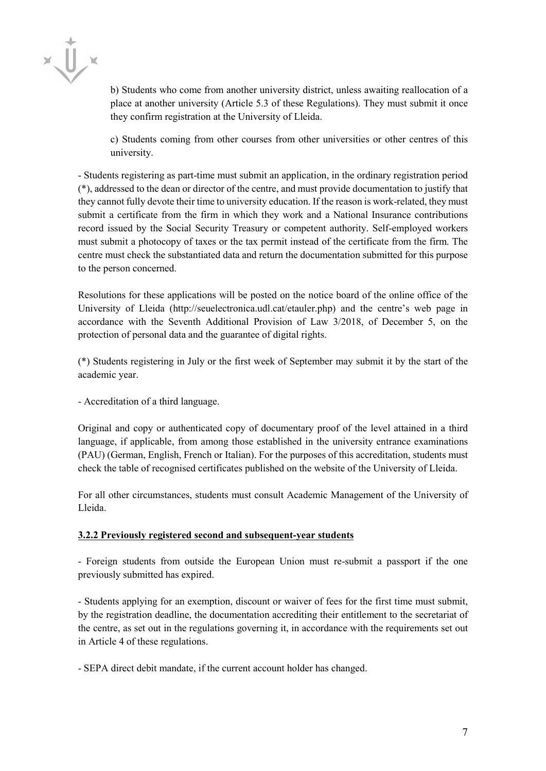b) Students who come from another university district, unless awaiting reallocation of a place at another university (Article 5.3 of these Regulations). They must submit it once they confirm registration at the University of Lleida.

c) Students coming from other courses from other universities or other centres of this university.

- Students registering as part-time must submit an application, in the ordinary registration period (\*), addressed to the dean or director of the centre, and must provide documentation to justify that they cannot fully devote their time to university education. If the reason is work-related, they must submit a certificate from the firm in which they work and a National Insurance contributions record issued by the Social Security Treasury or competent authority. Self-employed workers must submit a photocopy of taxes or the tax permit instead of the certificate from the firm. The centre must check the substantiated data and return the documentation submitted for this purpose to the person concerned.

Resolutions for these applications will be posted on the notice board of the online office of the University of Lleida (http://seuelectronica.udl.cat/etauler.php) and the centre's web page in accordance with the Seventh Additional Provision of Law 3/2018, of December 5, on the protection of personal data and the guarantee of digital rights.

(\*) Students registering in July or the first week of September may submit it by the start of the academic year.

- Accreditation of a third language.

Original and copy or authenticated copy of documentary proof of the level attained in a third language, if applicable, from among those established in the university entrance examinations (PAU) (German, English, French or Italian). For the purposes of this accreditation, students must check the table of recognised certificates published on the website of the University of Lleida.

For all other circumstances, students must consult Academic Management of the University of Lleida.

#### **3.2.2 Previously registered second and subsequent-year students**

- Foreign students from outside the European Union must re-submit a passport if the one previously submitted has expired.

- Students applying for an exemption, discount or waiver of fees for the first time must submit, by the registration deadline, the documentation accrediting their entitlement to the secretariat of the centre, as set out in the regulations governing it, in accordance with the requirements set out in Article 4 of these regulations.

- SEPA direct debit mandate, if the current account holder has changed.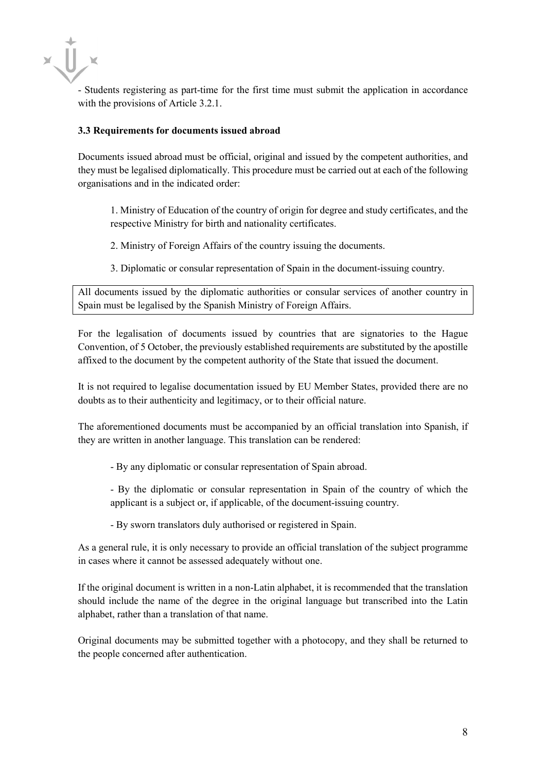- Students registering as part-time for the first time must submit the application in accordance with the provisions of Article 3.2.1.

### **3.3 Requirements for documents issued abroad**

Documents issued abroad must be official, original and issued by the competent authorities, and they must be legalised diplomatically. This procedure must be carried out at each of the following organisations and in the indicated order:

1. Ministry of Education of the country of origin for degree and study certificates, and the respective Ministry for birth and nationality certificates.

2. Ministry of Foreign Affairs of the country issuing the documents.

3. Diplomatic or consular representation of Spain in the document-issuing country.

All documents issued by the diplomatic authorities or consular services of another country in Spain must be legalised by the Spanish Ministry of Foreign Affairs.

For the legalisation of documents issued by countries that are signatories to the Hague Convention, of 5 October, the previously established requirements are substituted by the apostille affixed to the document by the competent authority of the State that issued the document.

It is not required to legalise documentation issued by EU Member States, provided there are no doubts as to their authenticity and legitimacy, or to their official nature.

The aforementioned documents must be accompanied by an official translation into Spanish, if they are written in another language. This translation can be rendered:

- By any diplomatic or consular representation of Spain abroad.

- By the diplomatic or consular representation in Spain of the country of which the applicant is a subject or, if applicable, of the document-issuing country.

- By sworn translators duly authorised or registered in Spain.

As a general rule, it is only necessary to provide an official translation of the subject programme in cases where it cannot be assessed adequately without one.

If the original document is written in a non-Latin alphabet, it is recommended that the translation should include the name of the degree in the original language but transcribed into the Latin alphabet, rather than a translation of that name.

Original documents may be submitted together with a photocopy, and they shall be returned to the people concerned after authentication.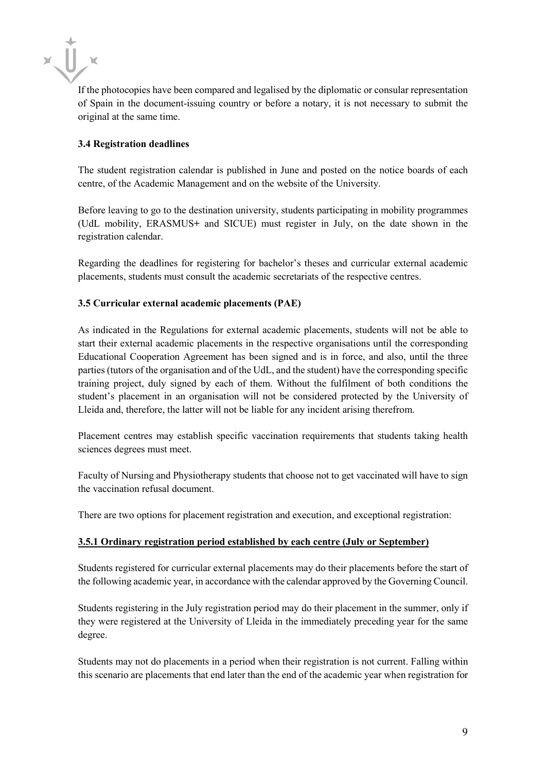$\times$   $\prod_{\alpha}$ 

If the photocopies have been compared and legalised by the diplomatic or consular representation of Spain in the document-issuing country or before a notary, it is not necessary to submit the original at the same time.

# **3.4 Registration deadlines**

The student registration calendar is published in June and posted on the notice boards of each centre, of the Academic Management and on the website of the University.

Before leaving to go to the destination university, students participating in mobility programmes (UdL mobility, ERASMUS**+** and SICUE) must register in July, on the date shown in the registration calendar.

Regarding the deadlines for registering for bachelor's theses and curricular external academic placements, students must consult the academic secretariats of the respective centres.

# **3.5 Curricular external academic placements (PAE)**

As indicated in the Regulations for external academic placements, students will not be able to start their external academic placements in the respective organisations until the corresponding Educational Cooperation Agreement has been signed and is in force, and also, until the three parties (tutors of the organisation and of the UdL, and the student) have the corresponding specific training project, duly signed by each of them. Without the fulfilment of both conditions the student's placement in an organisation will not be considered protected by the University of Lleida and, therefore, the latter will not be liable for any incident arising therefrom.

Placement centres may establish specific vaccination requirements that students taking health sciences degrees must meet.

Faculty of Nursing and Physiotherapy students that choose not to get vaccinated will have to sign the vaccination refusal document.

There are two options for placement registration and execution, and exceptional registration:

# **3.5.1 Ordinary registration period established by each centre (July or September)**

Students registered for curricular external placements may do their placements before the start of the following academic year, in accordance with the calendar approved by the Governing Council.

Students registering in the July registration period may do their placement in the summer, only if they were registered at the University of Lleida in the immediately preceding year for the same degree.

Students may not do placements in a period when their registration is not current. Falling within this scenario are placements that end later than the end of the academic year when registration for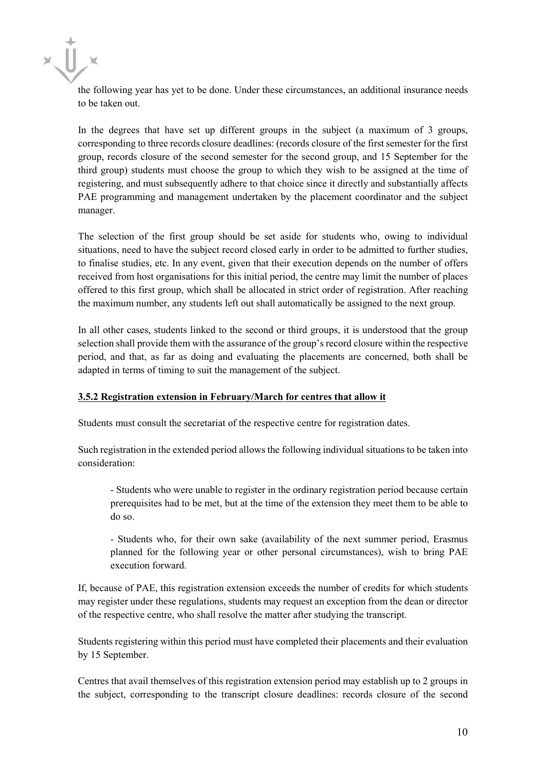the following year has yet to be done. Under these circumstances, an additional insurance needs to be taken out.

In the degrees that have set up different groups in the subject (a maximum of 3 groups, corresponding to three records closure deadlines: (records closure of the first semester for the first group, records closure of the second semester for the second group, and 15 September for the third group) students must choose the group to which they wish to be assigned at the time of registering, and must subsequently adhere to that choice since it directly and substantially affects PAE programming and management undertaken by the placement coordinator and the subject manager.

The selection of the first group should be set aside for students who, owing to individual situations, need to have the subject record closed early in order to be admitted to further studies, to finalise studies, etc. In any event, given that their execution depends on the number of offers received from host organisations for this initial period, the centre may limit the number of places offered to this first group, which shall be allocated in strict order of registration. After reaching the maximum number, any students left out shall automatically be assigned to the next group.

In all other cases, students linked to the second or third groups, it is understood that the group selection shall provide them with the assurance of the group's record closure within the respective period, and that, as far as doing and evaluating the placements are concerned, both shall be adapted in terms of timing to suit the management of the subject.

# **3.5.2 Registration extension in February/March for centres that allow it**

Students must consult the secretariat of the respective centre for registration dates.

Such registration in the extended period allows the following individual situations to be taken into consideration:

- Students who were unable to register in the ordinary registration period because certain prerequisites had to be met, but at the time of the extension they meet them to be able to do so.

- Students who, for their own sake (availability of the next summer period, Erasmus planned for the following year or other personal circumstances), wish to bring PAE execution forward.

If, because of PAE, this registration extension exceeds the number of credits for which students may register under these regulations, students may request an exception from the dean or director of the respective centre, who shall resolve the matter after studying the transcript.

Students registering within this period must have completed their placements and their evaluation by 15 September.

Centres that avail themselves of this registration extension period may establish up to 2 groups in the subject, corresponding to the transcript closure deadlines: records closure of the second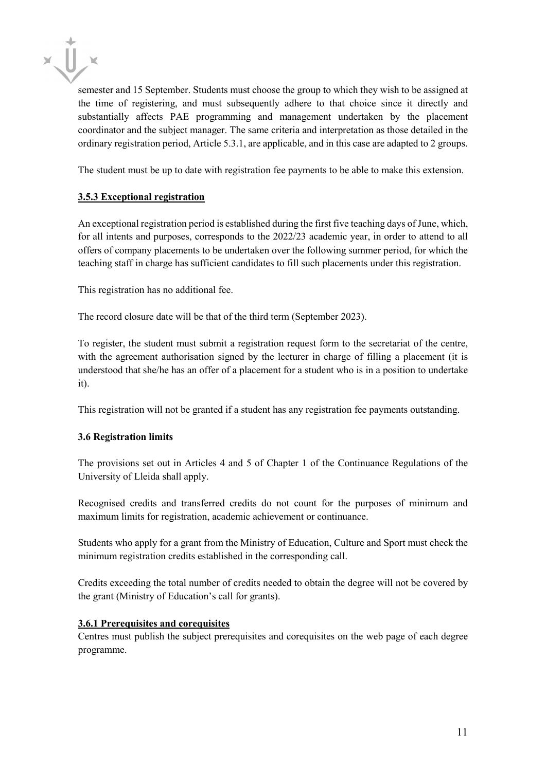

semester and 15 September. Students must choose the group to which they wish to be assigned at the time of registering, and must subsequently adhere to that choice since it directly and substantially affects PAE programming and management undertaken by the placement coordinator and the subject manager. The same criteria and interpretation as those detailed in the ordinary registration period, Article 5.3.1, are applicable, and in this case are adapted to 2 groups.

The student must be up to date with registration fee payments to be able to make this extension.

# **3.5.3 Exceptional registration**

An exceptional registration period is established during the first five teaching days of June, which, for all intents and purposes, corresponds to the 2022/23 academic year, in order to attend to all offers of company placements to be undertaken over the following summer period, for which the teaching staff in charge has sufficient candidates to fill such placements under this registration.

This registration has no additional fee.

The record closure date will be that of the third term (September 2023).

To register, the student must submit a registration request form to the secretariat of the centre, with the agreement authorisation signed by the lecturer in charge of filling a placement (it is understood that she/he has an offer of a placement for a student who is in a position to undertake it).

This registration will not be granted if a student has any registration fee payments outstanding.

# **3.6 Registration limits**

The provisions set out in Articles 4 and 5 of Chapter 1 of the Continuance Regulations of the University of Lleida shall apply.

Recognised credits and transferred credits do not count for the purposes of minimum and maximum limits for registration, academic achievement or continuance.

Students who apply for a grant from the Ministry of Education, Culture and Sport must check the minimum registration credits established in the corresponding call.

Credits exceeding the total number of credits needed to obtain the degree will not be covered by the grant (Ministry of Education's call for grants).

# **3.6.1 Prerequisites and corequisites**

Centres must publish the subject prerequisites and corequisites on the web page of each degree programme.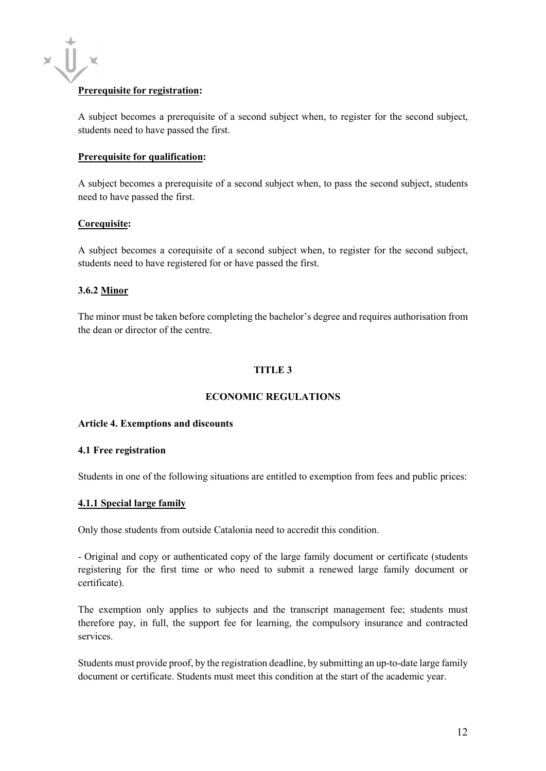# **Prerequisite for registration:**

A subject becomes a prerequisite of a second subject when, to register for the second subject, students need to have passed the first.

#### **Prerequisite for qualification:**

A subject becomes a prerequisite of a second subject when, to pass the second subject, students need to have passed the first.

#### **Corequisite:**

A subject becomes a corequisite of a second subject when, to register for the second subject, students need to have registered for or have passed the first.

### **3.6.2 Minor**

The minor must be taken before completing the bachelor's degree and requires authorisation from the dean or director of the centre.

# **TITLE 3**

## **ECONOMIC REGULATIONS**

#### **Article 4. Exemptions and discounts**

#### **4.1 Free registration**

Students in one of the following situations are entitled to exemption from fees and public prices:

#### **4.1.1 Special large family**

Only those students from outside Catalonia need to accredit this condition.

- Original and copy or authenticated copy of the large family document or certificate (students registering for the first time or who need to submit a renewed large family document or certificate).

The exemption only applies to subjects and the transcript management fee; students must therefore pay, in full, the support fee for learning, the compulsory insurance and contracted services.

Students must provide proof, by the registration deadline, by submitting an up-to-date large family document or certificate. Students must meet this condition at the start of the academic year.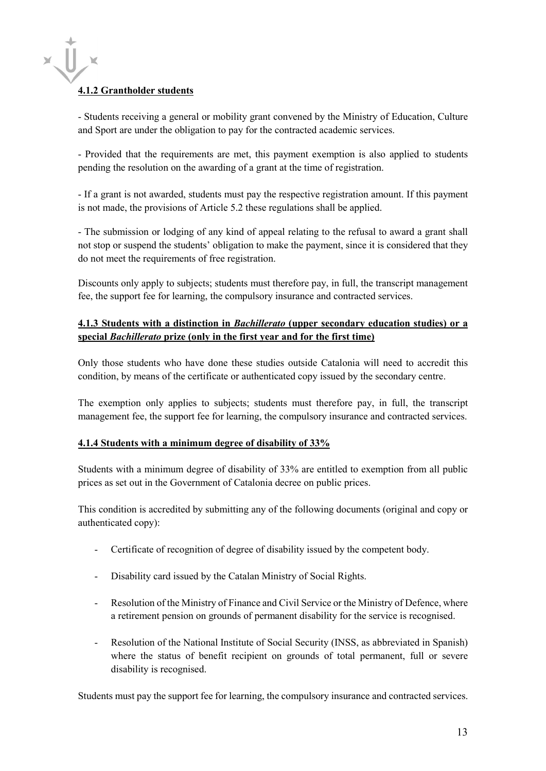# **4.1.2 Grantholder students**

- Students receiving a general or mobility grant convened by the Ministry of Education, Culture and Sport are under the obligation to pay for the contracted academic services.

- Provided that the requirements are met, this payment exemption is also applied to students pending the resolution on the awarding of a grant at the time of registration.

- If a grant is not awarded, students must pay the respective registration amount. If this payment is not made, the provisions of Article 5.2 these regulations shall be applied.

- The submission or lodging of any kind of appeal relating to the refusal to award a grant shall not stop or suspend the students' obligation to make the payment, since it is considered that they do not meet the requirements of free registration.

Discounts only apply to subjects; students must therefore pay, in full, the transcript management fee, the support fee for learning, the compulsory insurance and contracted services.

# **4.1.3 Students with a distinction in** *Bachillerato* **(upper secondary education studies) or a special** *Bachillerato* **prize (only in the first year and for the first time)**

Only those students who have done these studies outside Catalonia will need to accredit this condition, by means of the certificate or authenticated copy issued by the secondary centre.

The exemption only applies to subjects; students must therefore pay, in full, the transcript management fee, the support fee for learning, the compulsory insurance and contracted services.

# **4.1.4 Students with a minimum degree of disability of 33%**

Students with a minimum degree of disability of 33% are entitled to exemption from all public prices as set out in the Government of Catalonia decree on public prices.

This condition is accredited by submitting any of the following documents (original and copy or authenticated copy):

- Certificate of recognition of degree of disability issued by the competent body.
- Disability card issued by the Catalan Ministry of Social Rights.
- Resolution of the Ministry of Finance and Civil Service or the Ministry of Defence, where a retirement pension on grounds of permanent disability for the service is recognised.
- Resolution of the National Institute of Social Security (INSS, as abbreviated in Spanish) where the status of benefit recipient on grounds of total permanent, full or severe disability is recognised.

Students must pay the support fee for learning, the compulsory insurance and contracted services.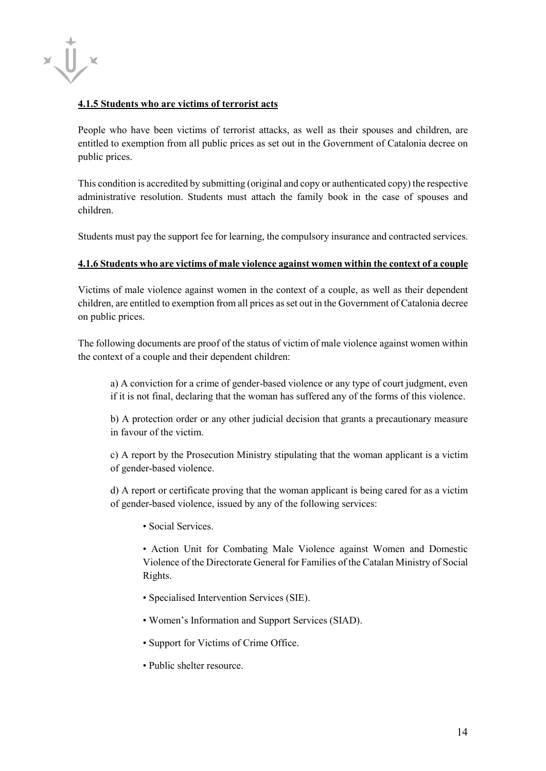

### **4.1.5 Students who are victims of terrorist acts**

People who have been victims of terrorist attacks, as well as their spouses and children, are entitled to exemption from all public prices as set out in the Government of Catalonia decree on public prices.

This condition is accredited by submitting (original and copy or authenticated copy) the respective administrative resolution. Students must attach the family book in the case of spouses and children.

Students must pay the support fee for learning, the compulsory insurance and contracted services.

### **4.1.6 Students who are victims of male violence against women within the context of a couple**

Victims of male violence against women in the context of a couple, as well as their dependent children, are entitled to exemption from all prices as set out in the Government of Catalonia decree on public prices.

The following documents are proof of the status of victim of male violence against women within the context of a couple and their dependent children:

a) A conviction for a crime of gender-based violence or any type of court judgment, even if it is not final, declaring that the woman has suffered any of the forms of this violence.

b) A protection order or any other judicial decision that grants a precautionary measure in favour of the victim.

c) A report by the Prosecution Ministry stipulating that the woman applicant is a victim of gender-based violence.

d) A report or certificate proving that the woman applicant is being cared for as a victim of gender-based violence, issued by any of the following services:

• Social Services.

• Action Unit for Combating Male Violence against Women and Domestic Violence of the Directorate General for Families of the Catalan Ministry of Social Rights.

- Specialised Intervention Services (SIE).
- Women's Information and Support Services (SIAD).
- Support for Victims of Crime Office.
- Public shelter resource.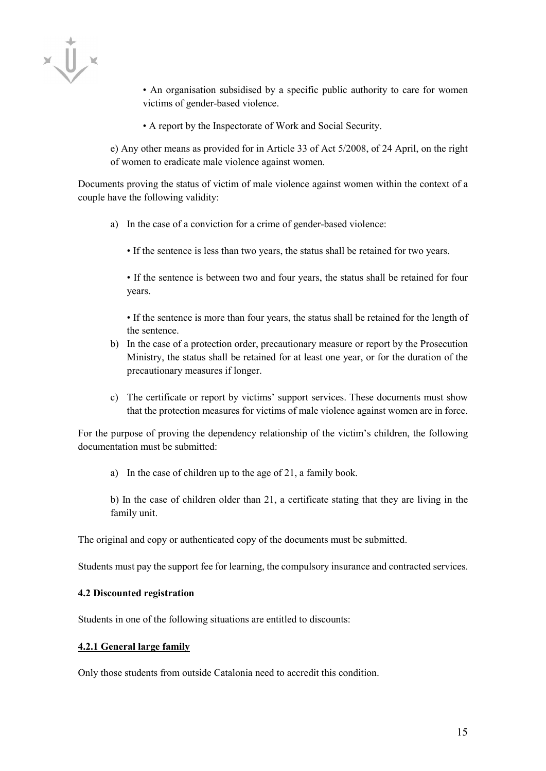$x\ddot{U}$ 

• An organisation subsidised by a specific public authority to care for women victims of gender-based violence.

• A report by the Inspectorate of Work and Social Security.

e) Any other means as provided for in Article 33 of Act 5/2008, of 24 April, on the right of women to eradicate male violence against women.

Documents proving the status of victim of male violence against women within the context of a couple have the following validity:

- a) In the case of a conviction for a crime of gender-based violence:
	- If the sentence is less than two years, the status shall be retained for two years.

• If the sentence is between two and four years, the status shall be retained for four years.

• If the sentence is more than four years, the status shall be retained for the length of the sentence.

- b) In the case of a protection order, precautionary measure or report by the Prosecution Ministry, the status shall be retained for at least one year, or for the duration of the precautionary measures if longer.
- c) The certificate or report by victims' support services. These documents must show that the protection measures for victims of male violence against women are in force.

For the purpose of proving the dependency relationship of the victim's children, the following documentation must be submitted:

a) In the case of children up to the age of 21, a family book.

b) In the case of children older than 21, a certificate stating that they are living in the family unit.

The original and copy or authenticated copy of the documents must be submitted.

Students must pay the support fee for learning, the compulsory insurance and contracted services.

#### **4.2 Discounted registration**

Students in one of the following situations are entitled to discounts:

#### **4.2.1 General large family**

Only those students from outside Catalonia need to accredit this condition.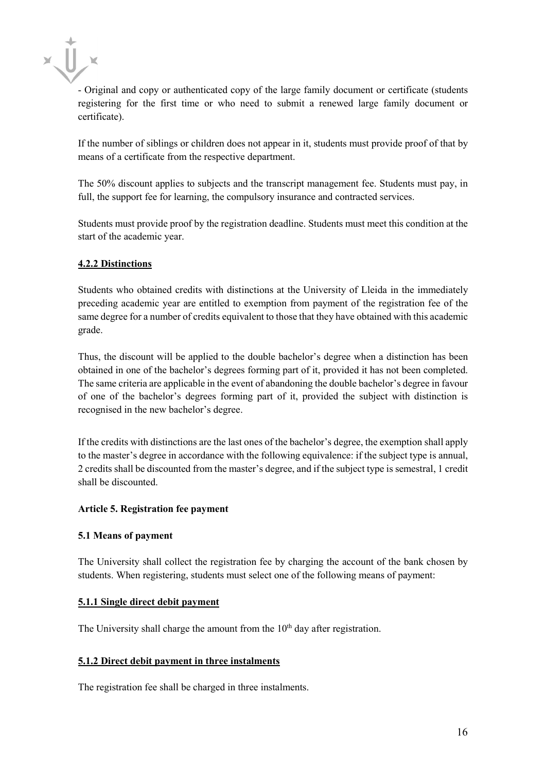

- Original and copy or authenticated copy of the large family document or certificate (students registering for the first time or who need to submit a renewed large family document or certificate).

If the number of siblings or children does not appear in it, students must provide proof of that by means of a certificate from the respective department.

The 50% discount applies to subjects and the transcript management fee. Students must pay, in full, the support fee for learning, the compulsory insurance and contracted services.

Students must provide proof by the registration deadline. Students must meet this condition at the start of the academic year.

# **4.2.2 Distinctions**

Students who obtained credits with distinctions at the University of Lleida in the immediately preceding academic year are entitled to exemption from payment of the registration fee of the same degree for a number of credits equivalent to those that they have obtained with this academic grade.

Thus, the discount will be applied to the double bachelor's degree when a distinction has been obtained in one of the bachelor's degrees forming part of it, provided it has not been completed. The same criteria are applicable in the event of abandoning the double bachelor's degree in favour of one of the bachelor's degrees forming part of it, provided the subject with distinction is recognised in the new bachelor's degree.

If the credits with distinctions are the last ones of the bachelor's degree, the exemption shall apply to the master's degree in accordance with the following equivalence: if the subject type is annual, 2 credits shall be discounted from the master's degree, and if the subject type is semestral, 1 credit shall be discounted.

# **Article 5. Registration fee payment**

# **5.1 Means of payment**

The University shall collect the registration fee by charging the account of the bank chosen by students. When registering, students must select one of the following means of payment:

# **5.1.1 Single direct debit payment**

The University shall charge the amount from the  $10<sup>th</sup>$  day after registration.

# **5.1.2 Direct debit payment in three instalments**

The registration fee shall be charged in three instalments.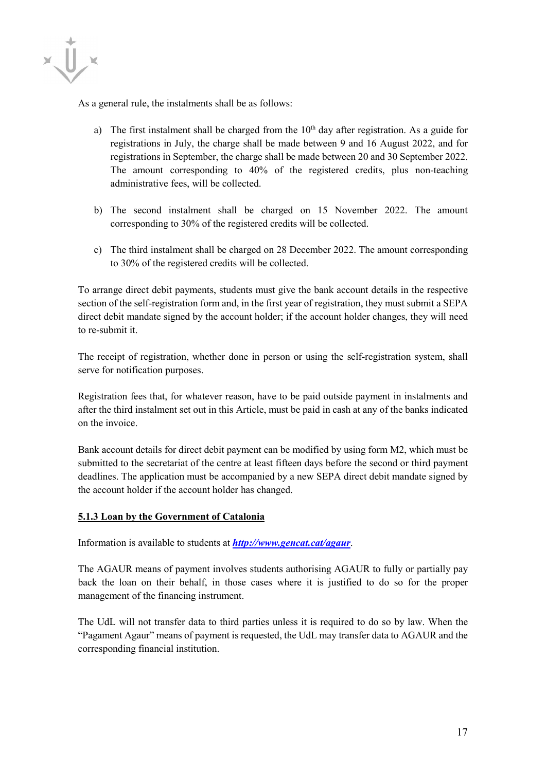

As a general rule, the instalments shall be as follows:

- a) The first instalment shall be charged from the  $10<sup>th</sup>$  day after registration. As a guide for registrations in July, the charge shall be made between 9 and 16 August 2022, and for registrations in September, the charge shall be made between 20 and 30 September 2022. The amount corresponding to 40% of the registered credits, plus non-teaching administrative fees, will be collected.
- b) The second instalment shall be charged on 15 November 2022. The amount corresponding to 30% of the registered credits will be collected.
- c) The third instalment shall be charged on 28 December 2022. The amount corresponding to 30% of the registered credits will be collected.

To arrange direct debit payments, students must give the bank account details in the respective section of the self-registration form and, in the first year of registration, they must submit a SEPA direct debit mandate signed by the account holder; if the account holder changes, they will need to re-submit it.

The receipt of registration, whether done in person or using the self-registration system, shall serve for notification purposes.

Registration fees that, for whatever reason, have to be paid outside payment in instalments and after the third instalment set out in this Article, must be paid in cash at any of the banks indicated on the invoice.

Bank account details for direct debit payment can be modified by using form M2, which must be submitted to the secretariat of the centre at least fifteen days before the second or third payment deadlines. The application must be accompanied by a new SEPA direct debit mandate signed by the account holder if the account holder has changed.

# **5.1.3 Loan by the Government of Catalonia**

Information is available to students at *<http://www.gencat.cat/agaur>*.

The AGAUR means of payment involves students authorising AGAUR to fully or partially pay back the loan on their behalf, in those cases where it is justified to do so for the proper management of the financing instrument.

The UdL will not transfer data to third parties unless it is required to do so by law. When the "Pagament Agaur" means of payment is requested, the UdL may transfer data to AGAUR and the corresponding financial institution.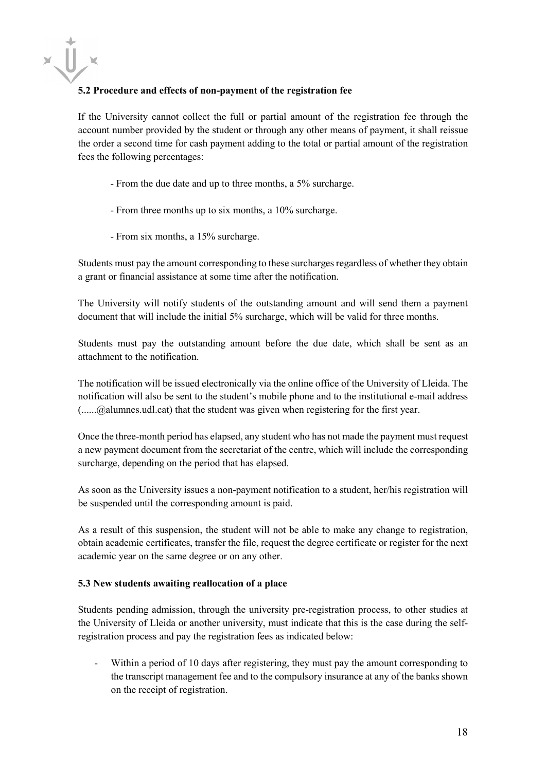

# **5.2 Procedure and effects of non-payment of the registration fee**

If the University cannot collect the full or partial amount of the registration fee through the account number provided by the student or through any other means of payment, it shall reissue the order a second time for cash payment adding to the total or partial amount of the registration fees the following percentages:

- From the due date and up to three months, a 5% surcharge.
- From three months up to six months, a 10% surcharge.
- From six months, a 15% surcharge.

Students must pay the amount corresponding to these surcharges regardless of whether they obtain a grant or financial assistance at some time after the notification.

The University will notify students of the outstanding amount and will send them a payment document that will include the initial 5% surcharge, which will be valid for three months.

Students must pay the outstanding amount before the due date, which shall be sent as an attachment to the notification.

The notification will be issued electronically via the online office of the University of Lleida. The notification will also be sent to the student's mobile phone and to the institutional e-mail address (......@alumnes.udl.cat) that the student was given when registering for the first year.

Once the three-month period has elapsed, any student who has not made the payment must request a new payment document from the secretariat of the centre, which will include the corresponding surcharge, depending on the period that has elapsed.

As soon as the University issues a non-payment notification to a student, her/his registration will be suspended until the corresponding amount is paid.

As a result of this suspension, the student will not be able to make any change to registration, obtain academic certificates, transfer the file, request the degree certificate or register for the next academic year on the same degree or on any other.

#### **5.3 New students awaiting reallocation of a place**

Students pending admission, through the university pre-registration process, to other studies at the University of Lleida or another university, must indicate that this is the case during the selfregistration process and pay the registration fees as indicated below:

Within a period of 10 days after registering, they must pay the amount corresponding to the transcript management fee and to the compulsory insurance at any of the banks shown on the receipt of registration.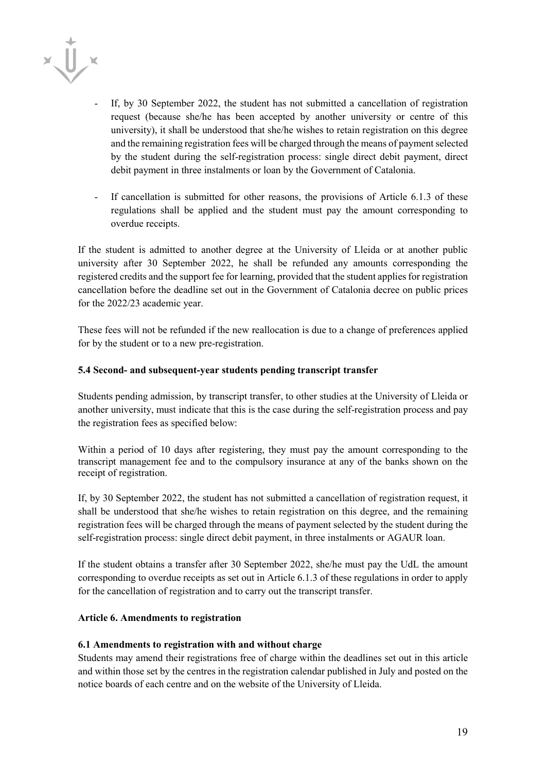

- If, by 30 September 2022, the student has not submitted a cancellation of registration request (because she/he has been accepted by another university or centre of this university), it shall be understood that she/he wishes to retain registration on this degree and the remaining registration fees will be charged through the means of payment selected by the student during the self-registration process: single direct debit payment, direct debit payment in three instalments or loan by the Government of Catalonia.
- If cancellation is submitted for other reasons, the provisions of Article 6.1.3 of these regulations shall be applied and the student must pay the amount corresponding to overdue receipts.

If the student is admitted to another degree at the University of Lleida or at another public university after 30 September 2022, he shall be refunded any amounts corresponding the registered credits and the support fee for learning, provided that the student applies for registration cancellation before the deadline set out in the Government of Catalonia decree on public prices for the 2022/23 academic year.

These fees will not be refunded if the new reallocation is due to a change of preferences applied for by the student or to a new pre-registration.

### **5.4 Second- and subsequent-year students pending transcript transfer**

Students pending admission, by transcript transfer, to other studies at the University of Lleida or another university, must indicate that this is the case during the self-registration process and pay the registration fees as specified below:

Within a period of 10 days after registering, they must pay the amount corresponding to the transcript management fee and to the compulsory insurance at any of the banks shown on the receipt of registration.

If, by 30 September 2022, the student has not submitted a cancellation of registration request, it shall be understood that she/he wishes to retain registration on this degree, and the remaining registration fees will be charged through the means of payment selected by the student during the self-registration process: single direct debit payment, in three instalments or AGAUR loan.

If the student obtains a transfer after 30 September 2022, she/he must pay the UdL the amount corresponding to overdue receipts as set out in Article 6.1.3 of these regulations in order to apply for the cancellation of registration and to carry out the transcript transfer.

#### **Article 6. Amendments to registration**

# **6.1 Amendments to registration with and without charge**

Students may amend their registrations free of charge within the deadlines set out in this article and within those set by the centres in the registration calendar published in July and posted on the notice boards of each centre and on the website of the University of Lleida.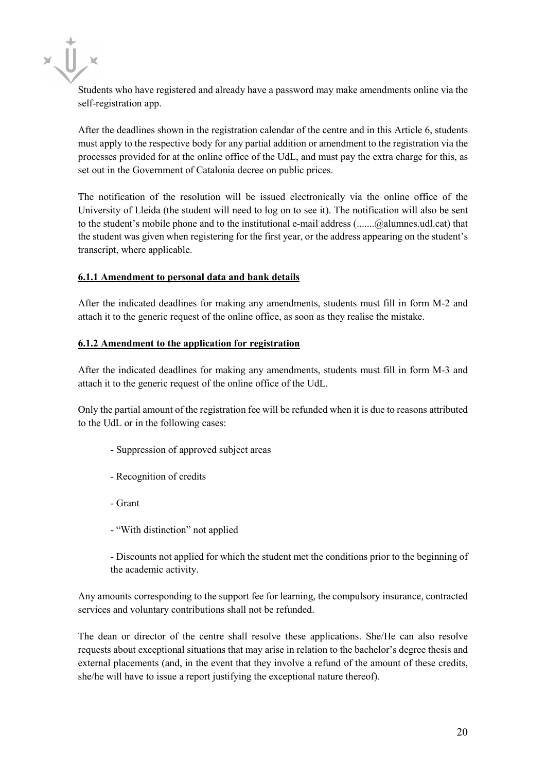Students who have registered and already have a password may make amendments online via the self-registration app.

After the deadlines shown in the registration calendar of the centre and in this Article 6, students must apply to the respective body for any partial addition or amendment to the registration via the processes provided for at the online office of the UdL, and must pay the extra charge for this, as set out in the Government of Catalonia decree on public prices.

The notification of the resolution will be issued electronically via the online office of the University of Lleida (the student will need to log on to see it). The notification will also be sent to the student's mobile phone and to the institutional e-mail address (.......@alumnes.udl.cat) that the student was given when registering for the first year, or the address appearing on the student's transcript, where applicable.

### **6.1.1 Amendment to personal data and bank details**

After the indicated deadlines for making any amendments, students must fill in form M-2 and attach it to the generic request of the online office, as soon as they realise the mistake.

### **6.1.2 Amendment to the application for registration**

After the indicated deadlines for making any amendments, students must fill in form M-3 and attach it to the generic request of the online office of the UdL.

Only the partial amount of the registration fee will be refunded when it is due to reasons attributed to the UdL or in the following cases:

- Suppression of approved subject areas
- Recognition of credits
- Grant
- "With distinction" not applied

- Discounts not applied for which the student met the conditions prior to the beginning of the academic activity.

Any amounts corresponding to the support fee for learning, the compulsory insurance, contracted services and voluntary contributions shall not be refunded.

The dean or director of the centre shall resolve these applications. She/He can also resolve requests about exceptional situations that may arise in relation to the bachelor's degree thesis and external placements (and, in the event that they involve a refund of the amount of these credits, she/he will have to issue a report justifying the exceptional nature thereof).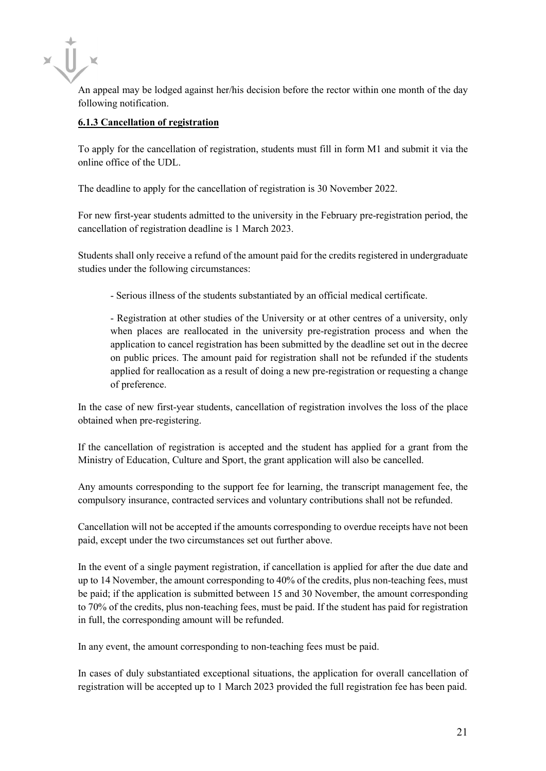An appeal may be lodged against her/his decision before the rector within one month of the day following notification.

# **6.1.3 Cancellation of registration**

To apply for the cancellation of registration, students must fill in form M1 and submit it via the online office of the UDL.

The deadline to apply for the cancellation of registration is 30 November 2022.

For new first-year students admitted to the university in the February pre-registration period, the cancellation of registration deadline is 1 March 2023.

Students shall only receive a refund of the amount paid for the credits registered in undergraduate studies under the following circumstances:

- Serious illness of the students substantiated by an official medical certificate.

- Registration at other studies of the University or at other centres of a university, only when places are reallocated in the university pre-registration process and when the application to cancel registration has been submitted by the deadline set out in the decree on public prices. The amount paid for registration shall not be refunded if the students applied for reallocation as a result of doing a new pre-registration or requesting a change of preference.

In the case of new first-year students, cancellation of registration involves the loss of the place obtained when pre-registering.

If the cancellation of registration is accepted and the student has applied for a grant from the Ministry of Education, Culture and Sport, the grant application will also be cancelled.

Any amounts corresponding to the support fee for learning, the transcript management fee, the compulsory insurance, contracted services and voluntary contributions shall not be refunded.

Cancellation will not be accepted if the amounts corresponding to overdue receipts have not been paid, except under the two circumstances set out further above.

In the event of a single payment registration, if cancellation is applied for after the due date and up to 14 November, the amount corresponding to 40% of the credits, plus non-teaching fees, must be paid; if the application is submitted between 15 and 30 November, the amount corresponding to 70% of the credits, plus non-teaching fees, must be paid. If the student has paid for registration in full, the corresponding amount will be refunded.

In any event, the amount corresponding to non-teaching fees must be paid.

In cases of duly substantiated exceptional situations, the application for overall cancellation of registration will be accepted up to 1 March 2023 provided the full registration fee has been paid.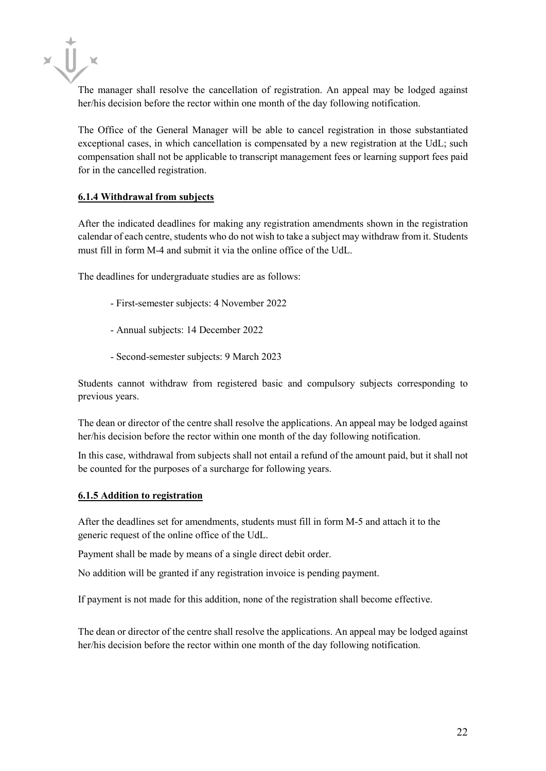$x \prod x$ 

The manager shall resolve the cancellation of registration. An appeal may be lodged against her/his decision before the rector within one month of the day following notification.

The Office of the General Manager will be able to cancel registration in those substantiated exceptional cases, in which cancellation is compensated by a new registration at the UdL; such compensation shall not be applicable to transcript management fees or learning support fees paid for in the cancelled registration.

# **6.1.4 Withdrawal from subjects**

After the indicated deadlines for making any registration amendments shown in the registration calendar of each centre, students who do not wish to take a subject may withdraw from it. Students must fill in form M-4 and submit it via the online office of the UdL.

The deadlines for undergraduate studies are as follows:

- First-semester subjects: 4 November 2022
- Annual subjects: 14 December 2022
- Second-semester subjects: 9 March 2023

Students cannot withdraw from registered basic and compulsory subjects corresponding to previous years.

The dean or director of the centre shall resolve the applications. An appeal may be lodged against her/his decision before the rector within one month of the day following notification.

In this case, withdrawal from subjects shall not entail a refund of the amount paid, but it shall not be counted for the purposes of a surcharge for following years.

#### **6.1.5 Addition to registration**

After the deadlines set for amendments, students must fill in form M-5 and attach it to the generic request of the online office of the UdL.

Payment shall be made by means of a single direct debit order.

No addition will be granted if any registration invoice is pending payment.

If payment is not made for this addition, none of the registration shall become effective.

The dean or director of the centre shall resolve the applications. An appeal may be lodged against her/his decision before the rector within one month of the day following notification.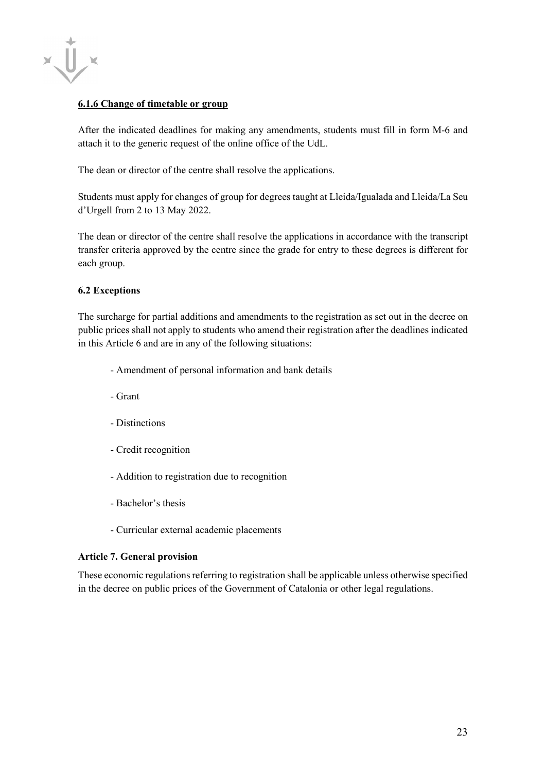

### **6.1.6 Change of timetable or group**

After the indicated deadlines for making any amendments, students must fill in form M-6 and attach it to the generic request of the online office of the UdL.

The dean or director of the centre shall resolve the applications.

Students must apply for changes of group for degrees taught at Lleida/Igualada and Lleida/La Seu d'Urgell from 2 to 13 May 2022.

The dean or director of the centre shall resolve the applications in accordance with the transcript transfer criteria approved by the centre since the grade for entry to these degrees is different for each group.

# **6.2 Exceptions**

The surcharge for partial additions and amendments to the registration as set out in the decree on public prices shall not apply to students who amend their registration after the deadlines indicated in this Article 6 and are in any of the following situations:

- Amendment of personal information and bank details
- Grant
- Distinctions
- Credit recognition
- Addition to registration due to recognition
- Bachelor's thesis
- Curricular external academic placements

#### **Article 7. General provision**

These economic regulations referring to registration shall be applicable unless otherwise specified in the decree on public prices of the Government of Catalonia or other legal regulations.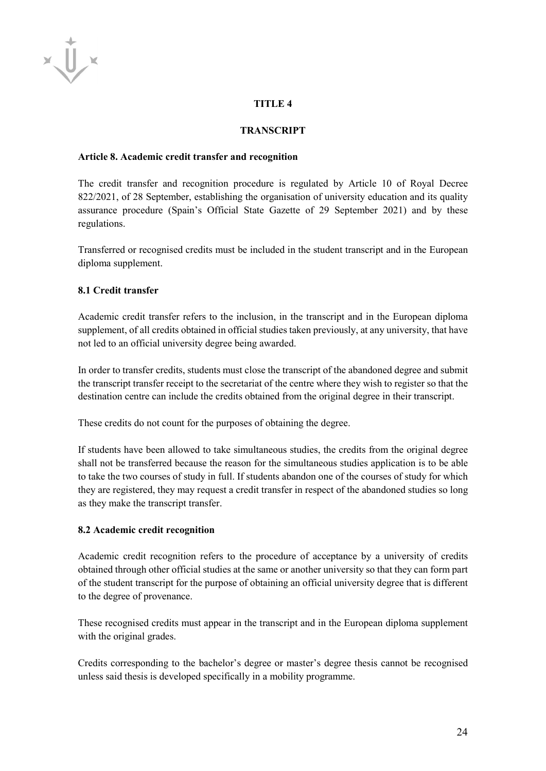# $\bigcup$  ×

# **TITLE 4**

# **TRANSCRIPT**

## **Article 8. Academic credit transfer and recognition**

The credit transfer and recognition procedure is regulated by Article 10 of Royal Decree 822/2021, of 28 September, establishing the organisation of university education and its quality assurance procedure (Spain's Official State Gazette of 29 September 2021) and by these regulations.

Transferred or recognised credits must be included in the student transcript and in the European diploma supplement.

# **8.1 Credit transfer**

Academic credit transfer refers to the inclusion, in the transcript and in the European diploma supplement, of all credits obtained in official studies taken previously, at any university, that have not led to an official university degree being awarded.

In order to transfer credits, students must close the transcript of the abandoned degree and submit the transcript transfer receipt to the secretariat of the centre where they wish to register so that the destination centre can include the credits obtained from the original degree in their transcript.

These credits do not count for the purposes of obtaining the degree.

If students have been allowed to take simultaneous studies, the credits from the original degree shall not be transferred because the reason for the simultaneous studies application is to be able to take the two courses of study in full. If students abandon one of the courses of study for which they are registered, they may request a credit transfer in respect of the abandoned studies so long as they make the transcript transfer.

#### **8.2 Academic credit recognition**

Academic credit recognition refers to the procedure of acceptance by a university of credits obtained through other official studies at the same or another university so that they can form part of the student transcript for the purpose of obtaining an official university degree that is different to the degree of provenance.

These recognised credits must appear in the transcript and in the European diploma supplement with the original grades.

Credits corresponding to the bachelor's degree or master's degree thesis cannot be recognised unless said thesis is developed specifically in a mobility programme.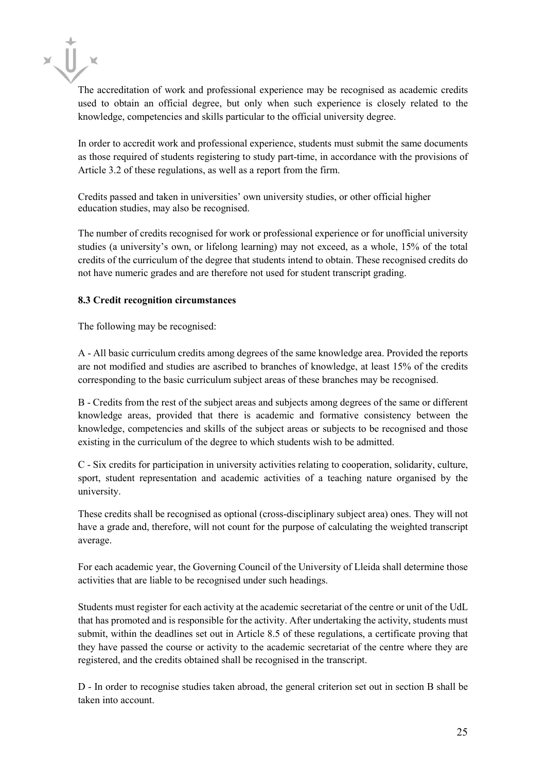The accreditation of work and professional experience may be recognised as academic credits used to obtain an official degree, but only when such experience is closely related to the knowledge, competencies and skills particular to the official university degree.

In order to accredit work and professional experience, students must submit the same documents as those required of students registering to study part-time, in accordance with the provisions of Article 3.2 of these regulations, as well as a report from the firm.

Credits passed and taken in universities' own university studies, or other official higher education studies, may also be recognised.

The number of credits recognised for work or professional experience or for unofficial university studies (a university's own, or lifelong learning) may not exceed, as a whole, 15% of the total credits of the curriculum of the degree that students intend to obtain. These recognised credits do not have numeric grades and are therefore not used for student transcript grading.

### **8.3 Credit recognition circumstances**

The following may be recognised:

A - All basic curriculum credits among degrees of the same knowledge area. Provided the reports are not modified and studies are ascribed to branches of knowledge, at least 15% of the credits corresponding to the basic curriculum subject areas of these branches may be recognised.

B - Credits from the rest of the subject areas and subjects among degrees of the same or different knowledge areas, provided that there is academic and formative consistency between the knowledge, competencies and skills of the subject areas or subjects to be recognised and those existing in the curriculum of the degree to which students wish to be admitted.

C - Six credits for participation in university activities relating to cooperation, solidarity, culture, sport, student representation and academic activities of a teaching nature organised by the university.

These credits shall be recognised as optional (cross-disciplinary subject area) ones. They will not have a grade and, therefore, will not count for the purpose of calculating the weighted transcript average.

For each academic year, the Governing Council of the University of Lleida shall determine those activities that are liable to be recognised under such headings.

Students must register for each activity at the academic secretariat of the centre or unit of the UdL that has promoted and is responsible for the activity. After undertaking the activity, students must submit, within the deadlines set out in Article 8.5 of these regulations, a certificate proving that they have passed the course or activity to the academic secretariat of the centre where they are registered, and the credits obtained shall be recognised in the transcript.

D - In order to recognise studies taken abroad, the general criterion set out in section B shall be taken into account.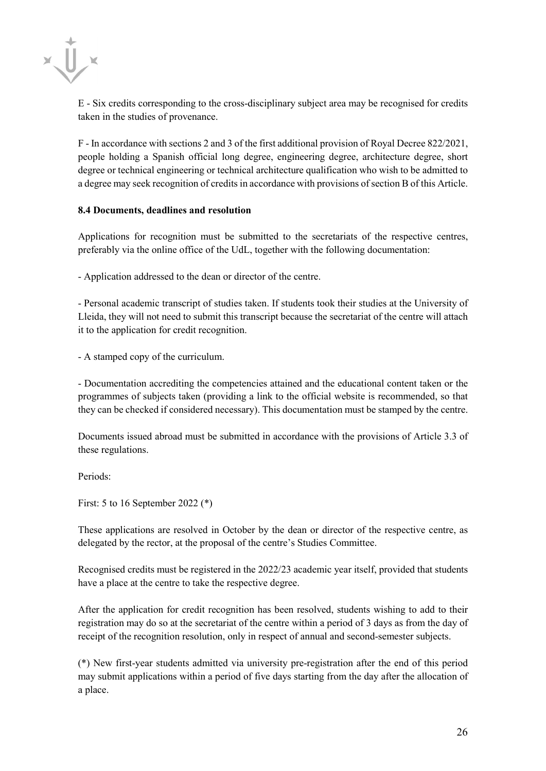E - Six credits corresponding to the cross-disciplinary subject area may be recognised for credits taken in the studies of provenance.

F - In accordance with sections 2 and 3 of the first additional provision of Royal Decree 822/2021, people holding a Spanish official long degree, engineering degree, architecture degree, short degree or technical engineering or technical architecture qualification who wish to be admitted to a degree may seek recognition of credits in accordance with provisions of section B of this Article.

#### **8.4 Documents, deadlines and resolution**

Applications for recognition must be submitted to the secretariats of the respective centres, preferably via the online office of the UdL, together with the following documentation:

- Application addressed to the dean or director of the centre.

- Personal academic transcript of studies taken. If students took their studies at the University of Lleida, they will not need to submit this transcript because the secretariat of the centre will attach it to the application for credit recognition.

- A stamped copy of the curriculum.

- Documentation accrediting the competencies attained and the educational content taken or the programmes of subjects taken (providing a link to the official website is recommended, so that they can be checked if considered necessary). This documentation must be stamped by the centre.

Documents issued abroad must be submitted in accordance with the provisions of Article 3.3 of these regulations.

Periods:

First: 5 to 16 September 2022 (\*)

These applications are resolved in October by the dean or director of the respective centre, as delegated by the rector, at the proposal of the centre's Studies Committee.

Recognised credits must be registered in the 2022/23 academic year itself, provided that students have a place at the centre to take the respective degree.

After the application for credit recognition has been resolved, students wishing to add to their registration may do so at the secretariat of the centre within a period of 3 days as from the day of receipt of the recognition resolution, only in respect of annual and second-semester subjects.

(\*) New first-year students admitted via university pre-registration after the end of this period may submit applications within a period of five days starting from the day after the allocation of a place.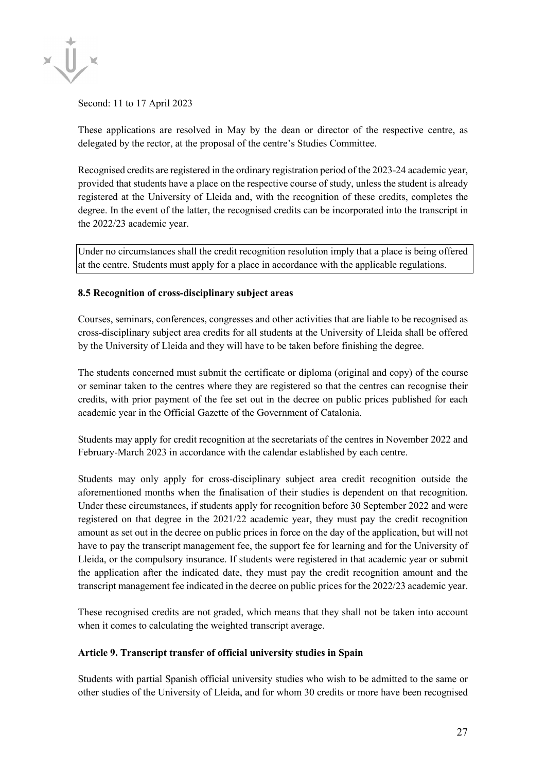

Second: 11 to 17 April 2023

These applications are resolved in May by the dean or director of the respective centre, as delegated by the rector, at the proposal of the centre's Studies Committee.

Recognised credits are registered in the ordinary registration period of the 2023-24 academic year, provided that students have a place on the respective course of study, unless the student is already registered at the University of Lleida and, with the recognition of these credits, completes the degree. In the event of the latter, the recognised credits can be incorporated into the transcript in the 2022/23 academic year.

Under no circumstances shall the credit recognition resolution imply that a place is being offered at the centre. Students must apply for a place in accordance with the applicable regulations.

### **8.5 Recognition of cross-disciplinary subject areas**

Courses, seminars, conferences, congresses and other activities that are liable to be recognised as cross-disciplinary subject area credits for all students at the University of Lleida shall be offered by the University of Lleida and they will have to be taken before finishing the degree.

The students concerned must submit the certificate or diploma (original and copy) of the course or seminar taken to the centres where they are registered so that the centres can recognise their credits, with prior payment of the fee set out in the decree on public prices published for each academic year in the Official Gazette of the Government of Catalonia.

Students may apply for credit recognition at the secretariats of the centres in November 2022 and February-March 2023 in accordance with the calendar established by each centre.

Students may only apply for cross-disciplinary subject area credit recognition outside the aforementioned months when the finalisation of their studies is dependent on that recognition. Under these circumstances, if students apply for recognition before 30 September 2022 and were registered on that degree in the 2021/22 academic year, they must pay the credit recognition amount as set out in the decree on public prices in force on the day of the application, but will not have to pay the transcript management fee, the support fee for learning and for the University of Lleida, or the compulsory insurance. If students were registered in that academic year or submit the application after the indicated date, they must pay the credit recognition amount and the transcript management fee indicated in the decree on public prices for the 2022/23 academic year.

These recognised credits are not graded, which means that they shall not be taken into account when it comes to calculating the weighted transcript average.

#### **Article 9. Transcript transfer of official university studies in Spain**

Students with partial Spanish official university studies who wish to be admitted to the same or other studies of the University of Lleida, and for whom 30 credits or more have been recognised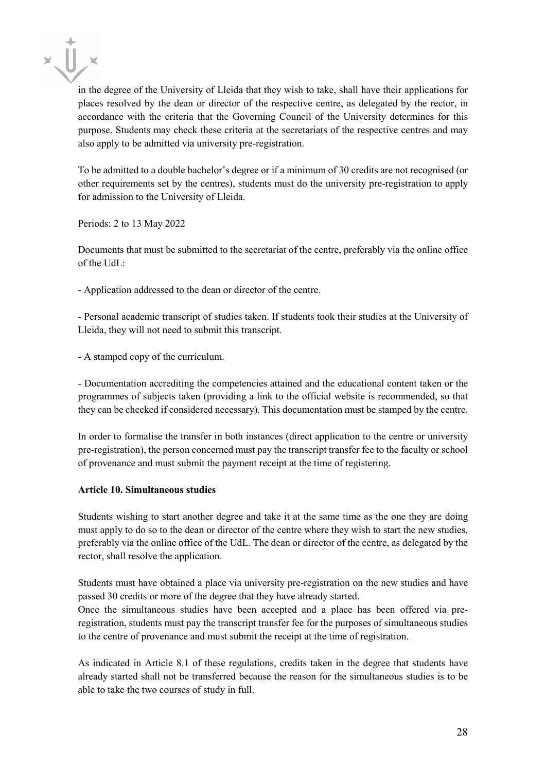in the degree of the University of Lleida that they wish to take, shall have their applications for places resolved by the dean or director of the respective centre, as delegated by the rector, in accordance with the criteria that the Governing Council of the University determines for this purpose. Students may check these criteria at the secretariats of the respective centres and may also apply to be admitted via university pre-registration.

To be admitted to a double bachelor's degree or if a minimum of 30 credits are not recognised (or other requirements set by the centres), students must do the university pre-registration to apply for admission to the University of Lleida.

Periods: 2 to 13 May 2022

Documents that must be submitted to the secretariat of the centre, preferably via the online office of the  $UdL$ :

- Application addressed to the dean or director of the centre.

- Personal academic transcript of studies taken. If students took their studies at the University of Lleida, they will not need to submit this transcript.

- A stamped copy of the curriculum.

- Documentation accrediting the competencies attained and the educational content taken or the programmes of subjects taken (providing a link to the official website is recommended, so that they can be checked if considered necessary). This documentation must be stamped by the centre.

In order to formalise the transfer in both instances (direct application to the centre or university pre-registration), the person concerned must pay the transcript transfer fee to the faculty or school of provenance and must submit the payment receipt at the time of registering.

#### **Article 10. Simultaneous studies**

Students wishing to start another degree and take it at the same time as the one they are doing must apply to do so to the dean or director of the centre where they wish to start the new studies, preferably via the online office of the UdL. The dean or director of the centre, as delegated by the rector, shall resolve the application.

Students must have obtained a place via university pre-registration on the new studies and have passed 30 credits or more of the degree that they have already started.

Once the simultaneous studies have been accepted and a place has been offered via preregistration, students must pay the transcript transfer fee for the purposes of simultaneous studies to the centre of provenance and must submit the receipt at the time of registration.

As indicated in Article 8.1 of these regulations, credits taken in the degree that students have already started shall not be transferred because the reason for the simultaneous studies is to be able to take the two courses of study in full.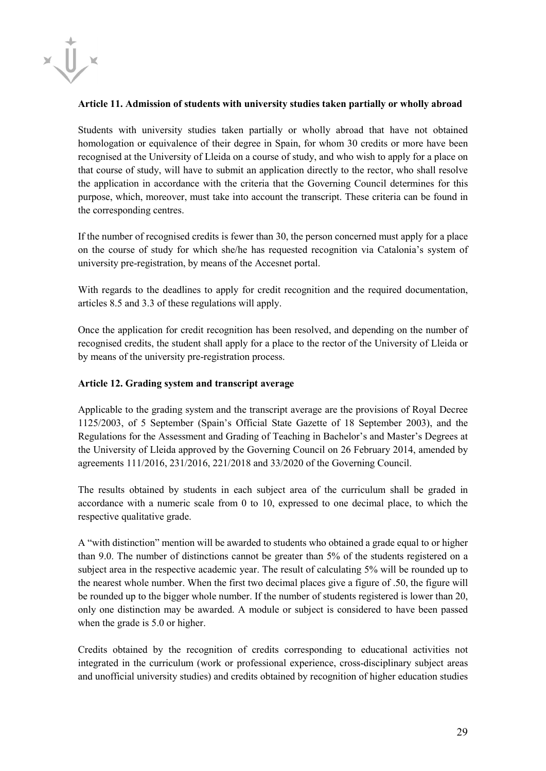

#### **Article 11. Admission of students with university studies taken partially or wholly abroad**

Students with university studies taken partially or wholly abroad that have not obtained homologation or equivalence of their degree in Spain, for whom 30 credits or more have been recognised at the University of Lleida on a course of study, and who wish to apply for a place on that course of study, will have to submit an application directly to the rector, who shall resolve the application in accordance with the criteria that the Governing Council determines for this purpose, which, moreover, must take into account the transcript. These criteria can be found in the corresponding centres.

If the number of recognised credits is fewer than 30, the person concerned must apply for a place on the course of study for which she/he has requested recognition via Catalonia's system of university pre-registration, by means of the Accesnet portal.

With regards to the deadlines to apply for credit recognition and the required documentation, articles 8.5 and 3.3 of these regulations will apply.

Once the application for credit recognition has been resolved, and depending on the number of recognised credits, the student shall apply for a place to the rector of the University of Lleida or by means of the university pre-registration process.

# **Article 12. Grading system and transcript average**

Applicable to the grading system and the transcript average are the provisions of Royal Decree 1125/2003, of 5 September (Spain's Official State Gazette of 18 September 2003), and the Regulations for the Assessment and Grading of Teaching in Bachelor's and Master's Degrees at the University of Lleida approved by the Governing Council on 26 February 2014, amended by agreements 111/2016, 231/2016, 221/2018 and 33/2020 of the Governing Council.

The results obtained by students in each subject area of the curriculum shall be graded in accordance with a numeric scale from 0 to 10, expressed to one decimal place, to which the respective qualitative grade.

A "with distinction" mention will be awarded to students who obtained a grade equal to or higher than 9.0. The number of distinctions cannot be greater than 5% of the students registered on a subject area in the respective academic year. The result of calculating 5% will be rounded up to the nearest whole number. When the first two decimal places give a figure of .50, the figure will be rounded up to the bigger whole number. If the number of students registered is lower than 20, only one distinction may be awarded. A module or subject is considered to have been passed when the grade is 5.0 or higher.

Credits obtained by the recognition of credits corresponding to educational activities not integrated in the curriculum (work or professional experience, cross-disciplinary subject areas and unofficial university studies) and credits obtained by recognition of higher education studies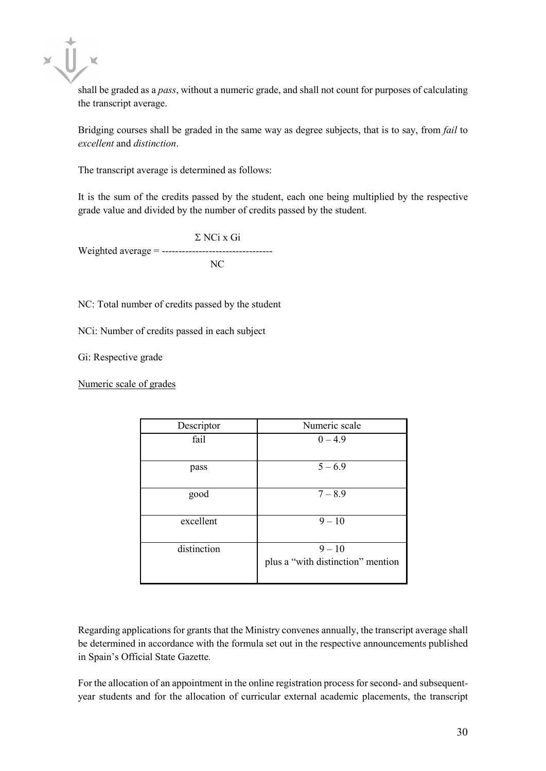$x \prod x$ 

shall be graded as a *pass*, without a numeric grade, and shall not count for purposes of calculating the transcript average.

Bridging courses shall be graded in the same way as degree subjects, that is to say, from *fail* to *excellent* and *distinction*.

The transcript average is determined as follows:

It is the sum of the credits passed by the student, each one being multiplied by the respective grade value and divided by the number of credits passed by the student.

Σ NCi x Gi Weighted average = --------------------------------- NC

NC: Total number of credits passed by the student

NCi: Number of credits passed in each subject

Gi: Respective grade

Numeric scale of grades

| Descriptor  | Numeric scale                     |
|-------------|-----------------------------------|
| fail        | $0 - 4.9$                         |
|             |                                   |
| pass        | $5 - 6.9$                         |
|             |                                   |
| good        | $7 - 8.9$                         |
|             |                                   |
| excellent   | $9 - 10$                          |
|             |                                   |
| distinction | $9 - 10$                          |
|             | plus a "with distinction" mention |
|             |                                   |

Regarding applications for grants that the Ministry convenes annually, the transcript average shall be determined in accordance with the formula set out in the respective announcements published in Spain's Official State Gazette*.*

For the allocation of an appointment in the online registration process for second- and subsequentyear students and for the allocation of curricular external academic placements, the transcript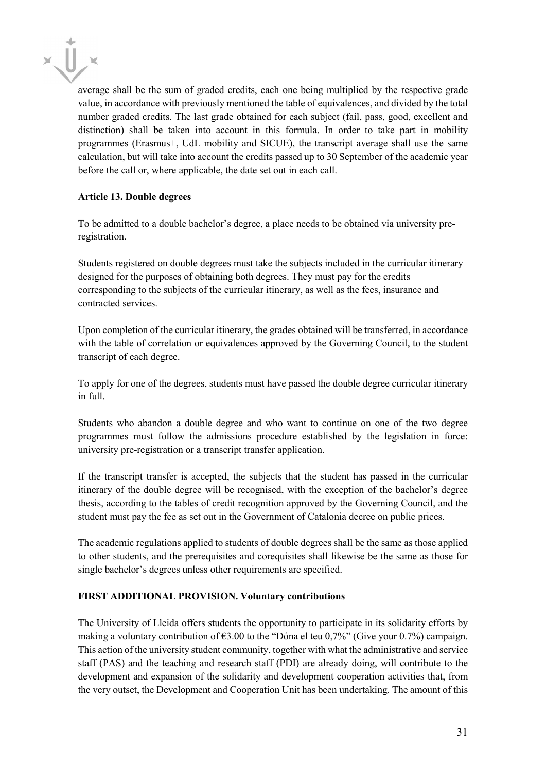

average shall be the sum of graded credits, each one being multiplied by the respective grade value, in accordance with previously mentioned the table of equivalences, and divided by the total number graded credits. The last grade obtained for each subject (fail, pass, good, excellent and distinction) shall be taken into account in this formula. In order to take part in mobility programmes (Erasmus+, UdL mobility and SICUE), the transcript average shall use the same calculation, but will take into account the credits passed up to 30 September of the academic year before the call or, where applicable, the date set out in each call.

# **Article 13. Double degrees**

To be admitted to a double bachelor's degree, a place needs to be obtained via university preregistration.

Students registered on double degrees must take the subjects included in the curricular itinerary designed for the purposes of obtaining both degrees. They must pay for the credits corresponding to the subjects of the curricular itinerary, as well as the fees, insurance and contracted services.

Upon completion of the curricular itinerary, the grades obtained will be transferred, in accordance with the table of correlation or equivalences approved by the Governing Council, to the student transcript of each degree.

To apply for one of the degrees, students must have passed the double degree curricular itinerary in full.

Students who abandon a double degree and who want to continue on one of the two degree programmes must follow the admissions procedure established by the legislation in force: university pre-registration or a transcript transfer application.

If the transcript transfer is accepted, the subjects that the student has passed in the curricular itinerary of the double degree will be recognised, with the exception of the bachelor's degree thesis, according to the tables of credit recognition approved by the Governing Council, and the student must pay the fee as set out in the Government of Catalonia decree on public prices.

The academic regulations applied to students of double degrees shall be the same as those applied to other students, and the prerequisites and corequisites shall likewise be the same as those for single bachelor's degrees unless other requirements are specified.

# **FIRST ADDITIONAL PROVISION. Voluntary contributions**

The University of Lleida offers students the opportunity to participate in its solidarity efforts by making a voluntary contribution of  $63.00$  to the "Dóna el teu 0,7%" (Give your 0.7%) campaign. This action of the university student community, together with what the administrative and service staff (PAS) and the teaching and research staff (PDI) are already doing, will contribute to the development and expansion of the solidarity and development cooperation activities that, from the very outset, the Development and Cooperation Unit has been undertaking. The amount of this